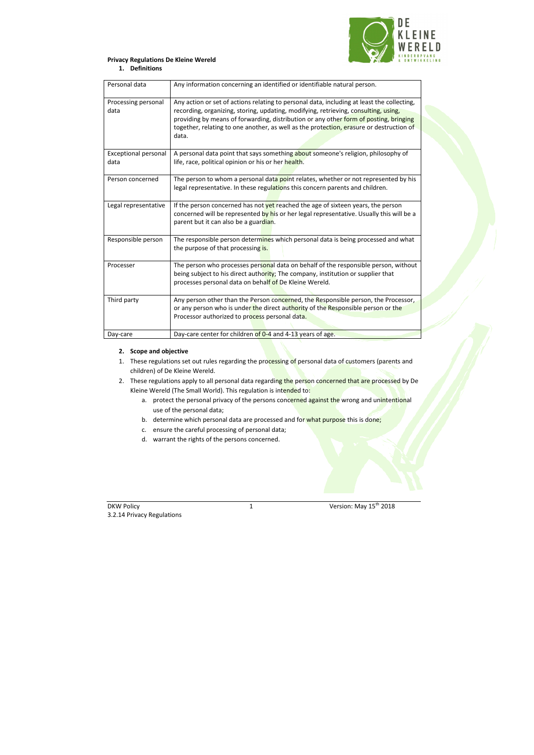

### **Privacy Regulations De Kleine Wereld**

#### **1. Definitions**

| Personal data                       | Any information concerning an identified or identifiable natural person.                                                                                                                                                                                                                                                                                                       |
|-------------------------------------|--------------------------------------------------------------------------------------------------------------------------------------------------------------------------------------------------------------------------------------------------------------------------------------------------------------------------------------------------------------------------------|
| Processing personal<br>data         | Any action or set of actions relating to personal data, including at least the collecting,<br>recording, organizing, storing, updating, modifying, retrieving, consulting, using,<br>providing by means of forwarding, distribution or any other form of posting, bringing<br>together, relating to one another, as well as the protection, erasure or destruction of<br>data. |
| <b>Exceptional personal</b><br>data | A personal data point that says something about someone's religion, philosophy of<br>life, race, political opinion or his or her health.                                                                                                                                                                                                                                       |
| Person concerned                    | The person to whom a personal data point relates, whether or not represented by his<br>legal representative. In these regulations this concern parents and children.                                                                                                                                                                                                           |
| Legal representative                | If the person concerned has not yet reached the age of sixteen years, the person<br>concerned will be represented by his or her legal representative. Usually this will be a<br>parent but it can also be a guardian.                                                                                                                                                          |
| Responsible person                  | The responsible person determines which personal data is being processed and what<br>the purpose of that processing is.                                                                                                                                                                                                                                                        |
| Processer                           | The person who processes personal data on behalf of the responsible person, without<br>being subject to his direct authority; The company, institution or supplier that<br>processes personal data on behalf of De Kleine Wereld.                                                                                                                                              |
| Third party                         | Any person other than the Person concerned, the Responsible person, the Processor,<br>or any person who is under the direct authority of the Responsible person or the<br>Processor authorized to process personal data.                                                                                                                                                       |
| Day-care                            | Day-care center for children of 0-4 and 4-13 years of age.                                                                                                                                                                                                                                                                                                                     |

- 1. These regulations set out rules regarding the processing of personal data of customers (parents and children) of De Kleine Wereld.
- 2. These regulations apply to all personal data regarding the person concerned that are processed by De Kleine Wereld (The Small World). This regulation is intended to:
	- a. protect the personal privacy of the persons concerned against the wrong and unintentional use of the personal data;
	- b. determine which personal data are processed and for what purpose this is done;
	- c. ensure the careful processing of personal data;
	- d. warrant the rights of the persons concerned.

#### **2. Scope and objective**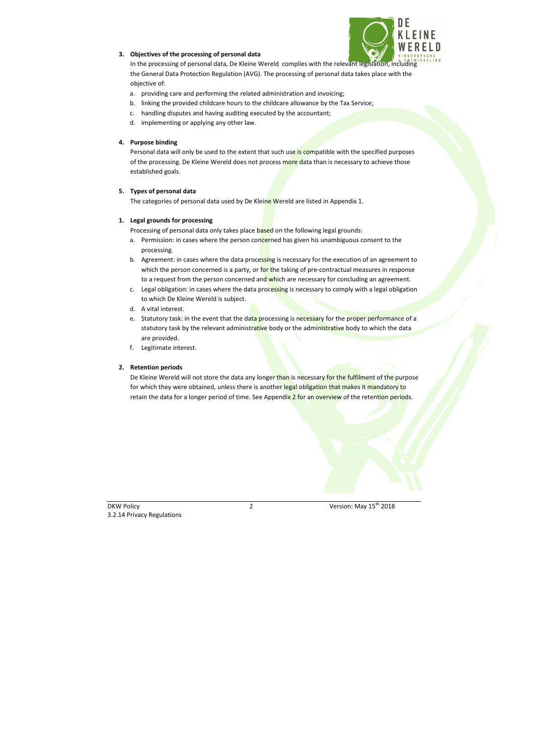

# **3. Objectives of the processing of personal data**

In the processing of personal data, De Kleine Wereld complies with the relevant legislation, including the General Data Protection Regulation (AVG). The processing of personal data takes place with the objective of:

a. providing care and performing the related administration and invoicing;

Personal data will only be used to the extent that such use is compatible with the specified purposes of the processing. De Kleine Wereld does not process more data than is necessary to achieve those established goals.

- b. linking the provided childcare hours to the childcare allowance by the Tax Service;
- c. handling disputes and having auditing executed by the accountant;
- d. implementing or applying any other law.

# **4. Purpose binding**

# **5. Types of personal data**

The categories of personal data used by De Kleine Wereld are listed in Appendix 1.

- a. Permission: in cases where the person concerned has given his unambiguous consent to the processing.
- b. Agreement: in cases where the data processing is necessary for the execution of an agreement to which the person concerned is a party, or for the taking of pre-contractual measures in response to a request from the person concerned and which are necessary for concluding an agreement.
- c. Legal obligation: in cases where the data processing is necessary to comply with a legal obligation to which De Kleine Wereld is subject.
- d. A vital interest.
- e. Statutory task: in the event that the data processing is necessary for the proper performance of a statutory task by the relevant administrative body or the administrative body to which the data are provided.
- f. Legitimate interest.

# **1. Legal grounds for processing**

Processing of personal data only takes place based on the following legal grounds:

# **2. Retention periods**

De Kleine Wereld will not store the data any longer than is necessary for the fulfilment of the purpose for which they were obtained, unless there is another legal obligation that makes it mandatory to retain the data for a longer period of time. See Appendix 2 for an overview of the retention periods.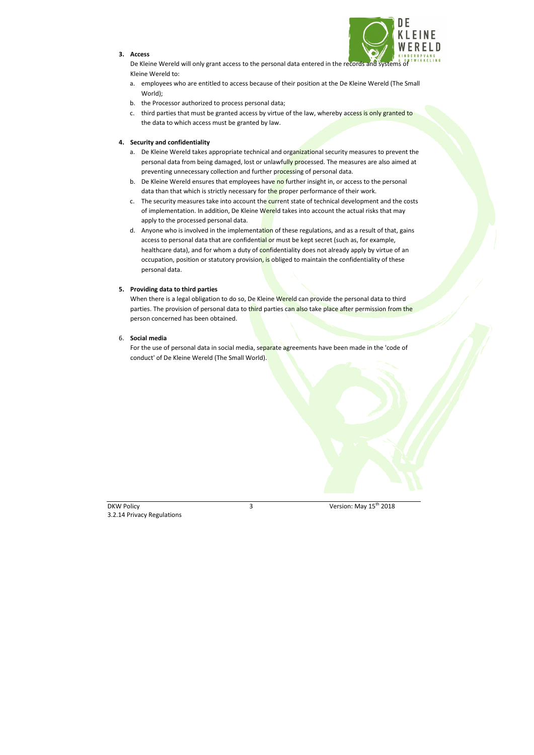### **3. Access**



De Kleine Wereld will only grant access to the personal data entered in the records and systems of Kleine Wereld to:

- a. employees who are entitled to access because of their position at the De Kleine Wereld (The Small World);
- b. the Processor authorized to process personal data;
- c. third parties that must be granted access by virtue of the law, whereby access is only granted to the data to which access must be granted by law.

# **4. Security and confidentiality**

- a. De Kleine Wereld takes appropriate technical and organizational security measures to prevent the personal data from being damaged, lost or unlawfully processed. The measures are also aimed at preventing unnecessary collection and further processing of personal data.
- b. De Kleine Wereld ensures that employees have no further insight in, or access to the personal data than that which is strictly necessary for the proper performance of their work.
- c. The security measures take into account the current state of technical development and the costs of implementation. In addition, De Kleine Wereld takes into account the actual risks that may apply to the processed personal data.
- d. Anyone who is involved in the implementation of these regulations, and as a result of that, gains access to personal data that are confidential or must be kept secret (such as, for example, healthcare data), and for whom a duty of confidentiality does not already apply by virtue of an occupation, position or statutory provision, is obliged to maintain the confidentiality of these personal data.

When there is a legal obligation to do so, De Kleine Wereld can provide the personal data to third parties. The provision of personal data to third parties can also take place after permission from the person concerned has been obtained.

For the use of personal data in social media, separate agreements have been made in the 'code of conduct' of De Kleine Wereld (The Small World).

# **5. Providing data to third parties**

## 6. **Social media**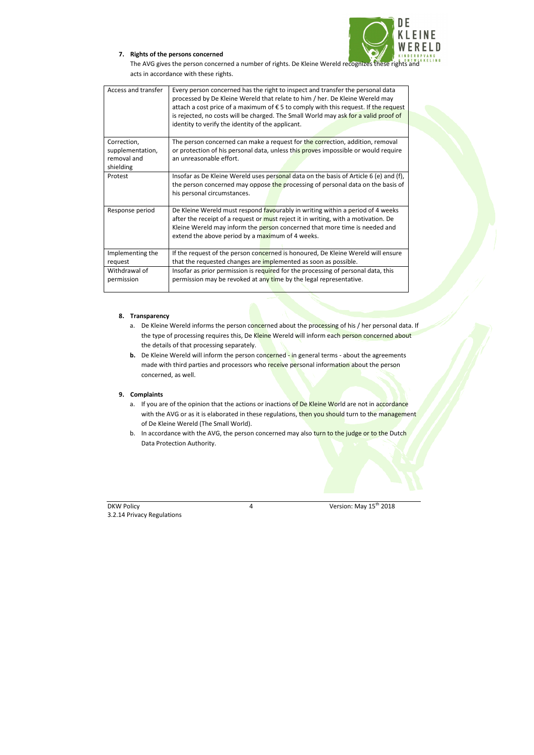

## **7. Rights of the persons concerned**

The AVG gives the person concerned a number of rights. De Kleine Wereld recognizes these rights and acts in accordance with these rights.

| Access and transfer | Every person concerned has the right to inspect and transfer the personal data<br>processed by De Kleine Wereld that relate to him / her. De Kleine Wereld may<br>attach a cost price of a maximum of € 5 to comply with this request. If the request |
|---------------------|-------------------------------------------------------------------------------------------------------------------------------------------------------------------------------------------------------------------------------------------------------|
|                     | is rejected, no costs will be charged. The Small World may ask for a valid proof of                                                                                                                                                                   |
|                     | identity to verify the identity of the applicant.                                                                                                                                                                                                     |
| Correction,         | The person concerned can make a request for the correction, addition, removal                                                                                                                                                                         |
| supplementation,    | or protection of his personal data, unless this proves impossible or would require                                                                                                                                                                    |
| removal and         | an unreasonable effort.                                                                                                                                                                                                                               |
| shielding           |                                                                                                                                                                                                                                                       |
| Protest             | Insofar as De Kleine Wereld uses personal data on the basis of Article 6 (e) and (f),                                                                                                                                                                 |
|                     | the person concerned may oppose the processing of personal data on the basis of                                                                                                                                                                       |
|                     | his personal circumstances.                                                                                                                                                                                                                           |
| Response period     | De Kleine Wereld must respond favourably in writing within a period of 4 weeks                                                                                                                                                                        |
|                     | after the receipt of a request or must reject it in writing, with a motivation. De                                                                                                                                                                    |
|                     | Kleine Wereld may inform the person concerned that more time is needed and                                                                                                                                                                            |
|                     | extend the above period by a maximum of 4 weeks.                                                                                                                                                                                                      |
| Implementing the    | If the request of the person concerned is honoured, De Kleine Wereld will ensure                                                                                                                                                                      |
| request             | that the requested changes are implemented as soon as possible.                                                                                                                                                                                       |
| Withdrawal of       | Insofar as prior permission is required for the processing of personal data, this                                                                                                                                                                     |
| permission          | permission may be revoked at any time by the legal representative.                                                                                                                                                                                    |
|                     |                                                                                                                                                                                                                                                       |

- a. De Kleine Wereld informs the person concerned about the processing of his / her personal data. If the type of processing requires this, De Kleine Wereld will inform each person concerned about the details of that processing separately.
- **b.** De Kleine Wereld will inform the person concerned in general terms about the agreements made with third parties and processors who receive personal information about the person concerned, as well.

- a. If you are of the opinion that the actions or inactions of De Kleine World are not in accordance with the AVG or as it is elaborated in these regulations, then you should turn to the management of De Kleine Wereld (The Small World).
- b. In accordance with the AVG, the person concerned may also turn to the judge or to the Dutch Data Protection Authority.

## **8. Transparency**

## **9. Complaints**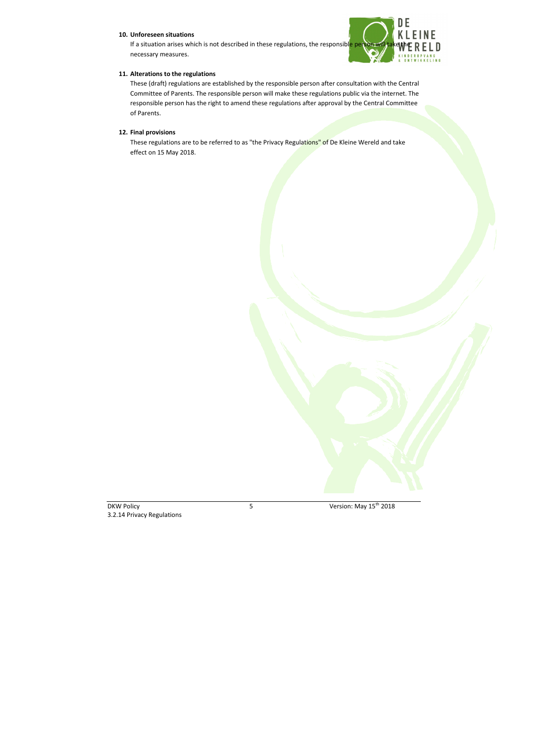### **10. Unforeseen situations**

If a situation arises which is not described in these regulations, the responsible person will necessary measures.



#### **11. Alterations to the regulations**

These regulations are to be referred to as "the Privacy Regulations" of De Kleine Wereld and take effect on 15 May 2018.

These (draft) regulations are established by the responsible person after consultation with the Central Committee of Parents. The responsible person will make these regulations public via the internet. The responsible person has the right to amend these regulations after approval by the Central Committee of Parents.

### **12. Final provisions**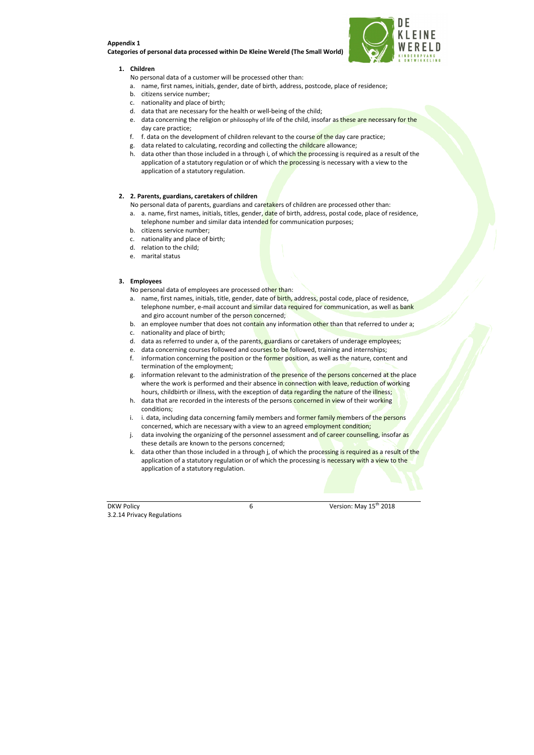#### **Appendix 1**

#### **Categories of personal data processed within De Kleine Wereld (The Small World)**



#### **1. Children**

No personal data of a customer will be processed other than:

- a. name, first names, initials, gender, date of birth, address, postcode, place of residence;
- b. citizens service number;
- c. nationality and place of birth;
- d. data that are necessary for the health or well-being of the child;
- e. data concerning the religion or philosophy of life of the child, insofar as these are necessary for the day care practice;
- f. f. data on the development of children relevant to the course of the day care practice;
- g. data related to calculating, recording and collecting the childcare allowance;
- h. data other than those included in a through i, of which the processing is required as a result of the application of a statutory regulation or of which the processing is necessary with a view to the application of a statutory regulation.

- a. a. name, first names, initials, titles, gender, date of birth, address, postal code, place of residence, telephone number and similar data intended for communication purposes;
- b. citizens service number;
- c. nationality and place of birth;
- d. relation to the child;
- e. marital status

#### **2. 2. Parents, guardians, caretakers of children**

No personal data of parents, guardians and caretakers of children are processed other than:

#### **3. Employees**

No personal data of employees are processed other than:

- a. name, first names, initials, title, gender, date of birth, address, postal code, place of residence, telephone number, e-mail account and similar data required for communication, as well as bank and giro account number of the person concerned;
- b. an employee number that does not contain any information other than that referred to under a;
- c. nationality and place of birth;
- d. data as referred to under a, of the parents, guardians or caretakers of underage employees;
- e. data concerning courses followed and courses to be followed, training and internships;
- f. information concerning the position or the former position, as well as the nature, content and termination of the employment;
- g. information relevant to the administration of the presence of the persons concerned at the place where the work is performed and their absence in connection with leave, reduction of working hours, childbirth or illness, with the exception of data regarding the nature of the illness;
- h. data that are recorded in the interests of the persons concerned in view of their working conditions;
- i. i. data, including data concerning family members and former family members of the persons concerned, which are necessary with a view to an agreed employment condition;
- j. data involving the organizing of the personnel assessment and of career counselling, insofar as these details are known to the persons concerned;
- k. data other than those included in a through j, of which the processing is required as a result of the application of a statutory regulation or of which the processing is necessary with a view to the application of a statutory regulation.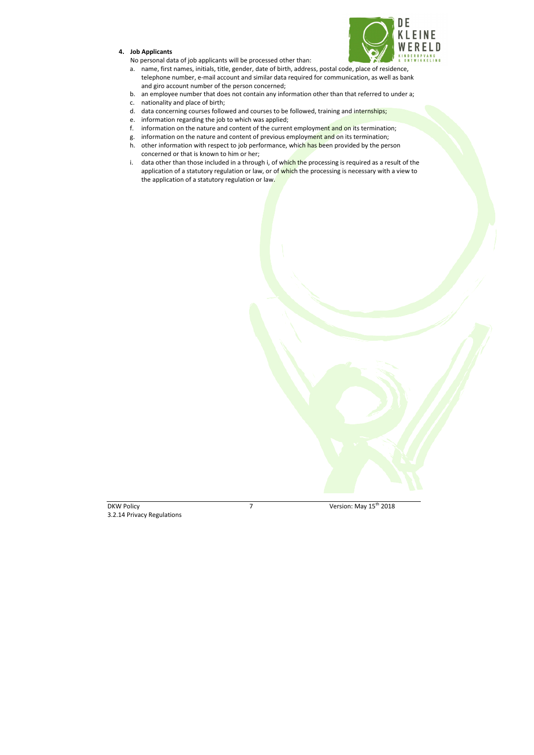# **4. Job Applicants**

- a. name, first names, initials, title, gender, date of birth, address, postal code, place of residence, telephone number, e-mail account and similar data required for communication, as well as bank and giro account number of the person concerned;
- b. an employee number that does not contain any information other than that referred to under a;
- c. nationality and place of birth;
- d. data concerning courses followed and courses to be followed, training and internships;
- e. information regarding the job to which was applied;
- f. information on the nature and content of the current employment and on its termination;
- g. information on the nature and content of previous employment and on its termination;
- h. other information with respect to job performance, which has been provided by the person concerned or that is known to him or her;
- i. data other than those included in a through i, of which the processing is required as a result of the application of a statutory regulation or law, or of which the processing is necessary with a view to the application of a statutory regulation or law.



No personal data of job applicants will be processed other than: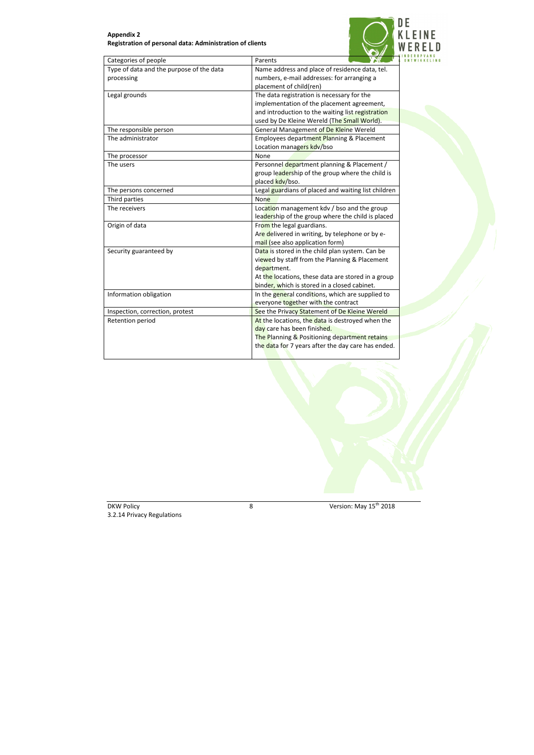# **Appendix 2 Registration of personal data: Administration of clients**



| Type of data and the purpose of the data<br>Name address and place of residence data, tel.<br>numbers, e-mail addresses: for arranging a<br>processing<br>placement of child(ren)<br>The data registration is necessary for the<br>Legal grounds<br>implementation of the placement agreement,<br>and introduction to the waiting list registration<br>used by De Kleine Wereld (The Small World).<br>The responsible person<br>General Management of De Kleine Wereld<br>The administrator<br>Employees department Planning & Placement<br>Location managers kdv/bso<br>The processor<br>None<br>The users<br>Personnel department planning & Placement /<br>group leadership of the group where the child is<br>placed kdv/bso.<br>Legal guardians of placed and waiting list children<br>The persons concerned<br>Third parties<br>None<br>The receivers<br>Location management kdv / bso and the group<br>leadership of the group where the child is placed<br>Origin of data<br>From the legal guardians.<br>Are delivered in writing, by telephone or by e-<br>mail (see also application form)<br>Data is stored in the child plan system. Can be<br>Security guaranteed by<br>viewed by staff from the Planning & Placement<br>department.<br>At the locations, these data are stored in a group<br>binder, which is stored in a closed cabinet.<br>Information obligation<br>In the general conditions, which are supplied to<br>everyone together with the contract<br>Inspection, correction, protest<br>See the Privacy Statement of De Kleine Wereld<br>Retention period<br>At the locations, the data is destroyed when the<br>day care has been finished. | Categories of people | Parents                                       |
|--------------------------------------------------------------------------------------------------------------------------------------------------------------------------------------------------------------------------------------------------------------------------------------------------------------------------------------------------------------------------------------------------------------------------------------------------------------------------------------------------------------------------------------------------------------------------------------------------------------------------------------------------------------------------------------------------------------------------------------------------------------------------------------------------------------------------------------------------------------------------------------------------------------------------------------------------------------------------------------------------------------------------------------------------------------------------------------------------------------------------------------------------------------------------------------------------------------------------------------------------------------------------------------------------------------------------------------------------------------------------------------------------------------------------------------------------------------------------------------------------------------------------------------------------------------------------------------------------------------------------------------------------------------------------|----------------------|-----------------------------------------------|
|                                                                                                                                                                                                                                                                                                                                                                                                                                                                                                                                                                                                                                                                                                                                                                                                                                                                                                                                                                                                                                                                                                                                                                                                                                                                                                                                                                                                                                                                                                                                                                                                                                                                          |                      |                                               |
|                                                                                                                                                                                                                                                                                                                                                                                                                                                                                                                                                                                                                                                                                                                                                                                                                                                                                                                                                                                                                                                                                                                                                                                                                                                                                                                                                                                                                                                                                                                                                                                                                                                                          |                      |                                               |
|                                                                                                                                                                                                                                                                                                                                                                                                                                                                                                                                                                                                                                                                                                                                                                                                                                                                                                                                                                                                                                                                                                                                                                                                                                                                                                                                                                                                                                                                                                                                                                                                                                                                          |                      |                                               |
|                                                                                                                                                                                                                                                                                                                                                                                                                                                                                                                                                                                                                                                                                                                                                                                                                                                                                                                                                                                                                                                                                                                                                                                                                                                                                                                                                                                                                                                                                                                                                                                                                                                                          |                      |                                               |
|                                                                                                                                                                                                                                                                                                                                                                                                                                                                                                                                                                                                                                                                                                                                                                                                                                                                                                                                                                                                                                                                                                                                                                                                                                                                                                                                                                                                                                                                                                                                                                                                                                                                          |                      |                                               |
|                                                                                                                                                                                                                                                                                                                                                                                                                                                                                                                                                                                                                                                                                                                                                                                                                                                                                                                                                                                                                                                                                                                                                                                                                                                                                                                                                                                                                                                                                                                                                                                                                                                                          |                      |                                               |
|                                                                                                                                                                                                                                                                                                                                                                                                                                                                                                                                                                                                                                                                                                                                                                                                                                                                                                                                                                                                                                                                                                                                                                                                                                                                                                                                                                                                                                                                                                                                                                                                                                                                          |                      |                                               |
|                                                                                                                                                                                                                                                                                                                                                                                                                                                                                                                                                                                                                                                                                                                                                                                                                                                                                                                                                                                                                                                                                                                                                                                                                                                                                                                                                                                                                                                                                                                                                                                                                                                                          |                      |                                               |
|                                                                                                                                                                                                                                                                                                                                                                                                                                                                                                                                                                                                                                                                                                                                                                                                                                                                                                                                                                                                                                                                                                                                                                                                                                                                                                                                                                                                                                                                                                                                                                                                                                                                          |                      |                                               |
|                                                                                                                                                                                                                                                                                                                                                                                                                                                                                                                                                                                                                                                                                                                                                                                                                                                                                                                                                                                                                                                                                                                                                                                                                                                                                                                                                                                                                                                                                                                                                                                                                                                                          |                      |                                               |
|                                                                                                                                                                                                                                                                                                                                                                                                                                                                                                                                                                                                                                                                                                                                                                                                                                                                                                                                                                                                                                                                                                                                                                                                                                                                                                                                                                                                                                                                                                                                                                                                                                                                          |                      |                                               |
|                                                                                                                                                                                                                                                                                                                                                                                                                                                                                                                                                                                                                                                                                                                                                                                                                                                                                                                                                                                                                                                                                                                                                                                                                                                                                                                                                                                                                                                                                                                                                                                                                                                                          |                      |                                               |
|                                                                                                                                                                                                                                                                                                                                                                                                                                                                                                                                                                                                                                                                                                                                                                                                                                                                                                                                                                                                                                                                                                                                                                                                                                                                                                                                                                                                                                                                                                                                                                                                                                                                          |                      |                                               |
|                                                                                                                                                                                                                                                                                                                                                                                                                                                                                                                                                                                                                                                                                                                                                                                                                                                                                                                                                                                                                                                                                                                                                                                                                                                                                                                                                                                                                                                                                                                                                                                                                                                                          |                      |                                               |
|                                                                                                                                                                                                                                                                                                                                                                                                                                                                                                                                                                                                                                                                                                                                                                                                                                                                                                                                                                                                                                                                                                                                                                                                                                                                                                                                                                                                                                                                                                                                                                                                                                                                          |                      |                                               |
|                                                                                                                                                                                                                                                                                                                                                                                                                                                                                                                                                                                                                                                                                                                                                                                                                                                                                                                                                                                                                                                                                                                                                                                                                                                                                                                                                                                                                                                                                                                                                                                                                                                                          |                      |                                               |
|                                                                                                                                                                                                                                                                                                                                                                                                                                                                                                                                                                                                                                                                                                                                                                                                                                                                                                                                                                                                                                                                                                                                                                                                                                                                                                                                                                                                                                                                                                                                                                                                                                                                          |                      |                                               |
|                                                                                                                                                                                                                                                                                                                                                                                                                                                                                                                                                                                                                                                                                                                                                                                                                                                                                                                                                                                                                                                                                                                                                                                                                                                                                                                                                                                                                                                                                                                                                                                                                                                                          |                      |                                               |
|                                                                                                                                                                                                                                                                                                                                                                                                                                                                                                                                                                                                                                                                                                                                                                                                                                                                                                                                                                                                                                                                                                                                                                                                                                                                                                                                                                                                                                                                                                                                                                                                                                                                          |                      |                                               |
|                                                                                                                                                                                                                                                                                                                                                                                                                                                                                                                                                                                                                                                                                                                                                                                                                                                                                                                                                                                                                                                                                                                                                                                                                                                                                                                                                                                                                                                                                                                                                                                                                                                                          |                      |                                               |
|                                                                                                                                                                                                                                                                                                                                                                                                                                                                                                                                                                                                                                                                                                                                                                                                                                                                                                                                                                                                                                                                                                                                                                                                                                                                                                                                                                                                                                                                                                                                                                                                                                                                          |                      |                                               |
|                                                                                                                                                                                                                                                                                                                                                                                                                                                                                                                                                                                                                                                                                                                                                                                                                                                                                                                                                                                                                                                                                                                                                                                                                                                                                                                                                                                                                                                                                                                                                                                                                                                                          |                      |                                               |
|                                                                                                                                                                                                                                                                                                                                                                                                                                                                                                                                                                                                                                                                                                                                                                                                                                                                                                                                                                                                                                                                                                                                                                                                                                                                                                                                                                                                                                                                                                                                                                                                                                                                          |                      |                                               |
|                                                                                                                                                                                                                                                                                                                                                                                                                                                                                                                                                                                                                                                                                                                                                                                                                                                                                                                                                                                                                                                                                                                                                                                                                                                                                                                                                                                                                                                                                                                                                                                                                                                                          |                      |                                               |
|                                                                                                                                                                                                                                                                                                                                                                                                                                                                                                                                                                                                                                                                                                                                                                                                                                                                                                                                                                                                                                                                                                                                                                                                                                                                                                                                                                                                                                                                                                                                                                                                                                                                          |                      |                                               |
|                                                                                                                                                                                                                                                                                                                                                                                                                                                                                                                                                                                                                                                                                                                                                                                                                                                                                                                                                                                                                                                                                                                                                                                                                                                                                                                                                                                                                                                                                                                                                                                                                                                                          |                      |                                               |
|                                                                                                                                                                                                                                                                                                                                                                                                                                                                                                                                                                                                                                                                                                                                                                                                                                                                                                                                                                                                                                                                                                                                                                                                                                                                                                                                                                                                                                                                                                                                                                                                                                                                          |                      |                                               |
|                                                                                                                                                                                                                                                                                                                                                                                                                                                                                                                                                                                                                                                                                                                                                                                                                                                                                                                                                                                                                                                                                                                                                                                                                                                                                                                                                                                                                                                                                                                                                                                                                                                                          |                      |                                               |
|                                                                                                                                                                                                                                                                                                                                                                                                                                                                                                                                                                                                                                                                                                                                                                                                                                                                                                                                                                                                                                                                                                                                                                                                                                                                                                                                                                                                                                                                                                                                                                                                                                                                          |                      |                                               |
|                                                                                                                                                                                                                                                                                                                                                                                                                                                                                                                                                                                                                                                                                                                                                                                                                                                                                                                                                                                                                                                                                                                                                                                                                                                                                                                                                                                                                                                                                                                                                                                                                                                                          |                      |                                               |
|                                                                                                                                                                                                                                                                                                                                                                                                                                                                                                                                                                                                                                                                                                                                                                                                                                                                                                                                                                                                                                                                                                                                                                                                                                                                                                                                                                                                                                                                                                                                                                                                                                                                          |                      |                                               |
|                                                                                                                                                                                                                                                                                                                                                                                                                                                                                                                                                                                                                                                                                                                                                                                                                                                                                                                                                                                                                                                                                                                                                                                                                                                                                                                                                                                                                                                                                                                                                                                                                                                                          |                      | The Planning & Positioning department retains |
| the data for 7 years after the day care has ended.                                                                                                                                                                                                                                                                                                                                                                                                                                                                                                                                                                                                                                                                                                                                                                                                                                                                                                                                                                                                                                                                                                                                                                                                                                                                                                                                                                                                                                                                                                                                                                                                                       |                      |                                               |

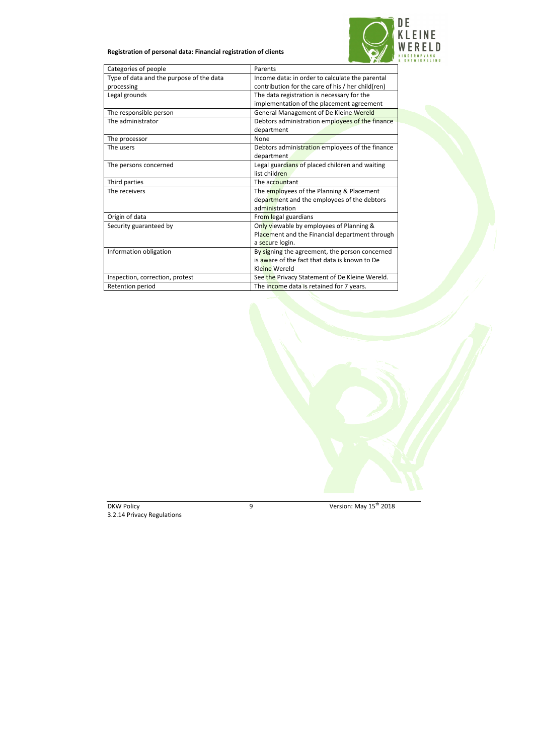

# **Registration of personal data: Financial registration of clients**

| Categories of people                     | Parents                                           |
|------------------------------------------|---------------------------------------------------|
| Type of data and the purpose of the data | Income data: in order to calculate the parental   |
| processing                               | contribution for the care of his / her child(ren) |
| Legal grounds                            | The data registration is necessary for the        |
|                                          | implementation of the placement agreement         |
| The responsible person                   | General Management of De Kleine Wereld            |
| The administrator                        | Debtors administration employees of the finance   |
|                                          | department                                        |
| The processor                            | None                                              |
| The users                                | Debtors administration employees of the finance   |
|                                          | department                                        |
| The persons concerned                    | Legal guardians of placed children and waiting    |
|                                          | list children                                     |
| Third parties                            | The accountant                                    |
| The receivers                            | The employees of the Planning & Placement         |
|                                          | department and the employees of the debtors       |
|                                          | administration                                    |
| Origin of data                           | From legal guardians                              |
| Security guaranteed by                   | Only viewable by employees of Planning &          |
|                                          | Placement and the Financial department through    |
|                                          | a secure login.                                   |
| Information obligation                   | By signing the agreement, the person concerned    |
|                                          | is aware of the fact that data is known to De     |
|                                          | Kleine Wereld                                     |
| Inspection, correction, protest          | See the Privacy Statement of De Kleine Wereld.    |
| Retention period                         | The income data is retained for 7 years.          |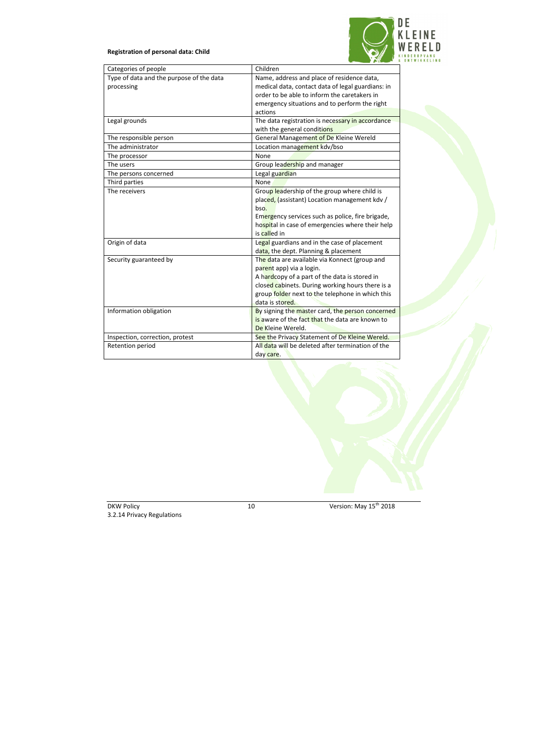# **Registration of personal data: Child**



| Categories of people                     | Children                                          |
|------------------------------------------|---------------------------------------------------|
| Type of data and the purpose of the data | Name, address and place of residence data,        |
| processing                               | medical data, contact data of legal guardians: in |
|                                          | order to be able to inform the caretakers in      |
|                                          | emergency situations and to perform the right     |
|                                          | actions                                           |
| Legal grounds                            | The data registration is necessary in accordance  |
|                                          | with the general conditions                       |
| The responsible person                   | General Management of De Kleine Wereld            |
| The administrator                        | Location management kdv/bso                       |
| The processor                            | None                                              |
| The users                                | Group leadership and manager                      |
| The persons concerned                    | Legal guardian                                    |
| Third parties                            | None                                              |
| The receivers                            | Group leadership of the group where child is      |
|                                          | placed, (assistant) Location management kdv /     |
|                                          | bso.                                              |
|                                          | Emergency services such as police, fire brigade,  |
|                                          | hospital in case of emergencies where their help  |
|                                          | is called in                                      |
| Origin of data                           | Legal guardians and in the case of placement      |
|                                          | data, the dept. Planning & placement              |
| Security guaranteed by                   | The data are available via Konnect (group and     |
|                                          | parent app) via a login.                          |
|                                          | A hardcopy of a part of the data is stored in     |
|                                          | closed cabinets. During working hours there is a  |
|                                          | group folder next to the telephone in which this  |
|                                          | data is stored.                                   |
| Information obligation                   | By signing the master card, the person concerned  |
|                                          | is aware of the fact that the data are known to   |
|                                          | De Kleine Wereld.                                 |
| Inspection, correction, protest          | See the Privacy Statement of De Kleine Wereld.    |
| Retention period                         | All data will be deleted after termination of the |
|                                          | day care.                                         |

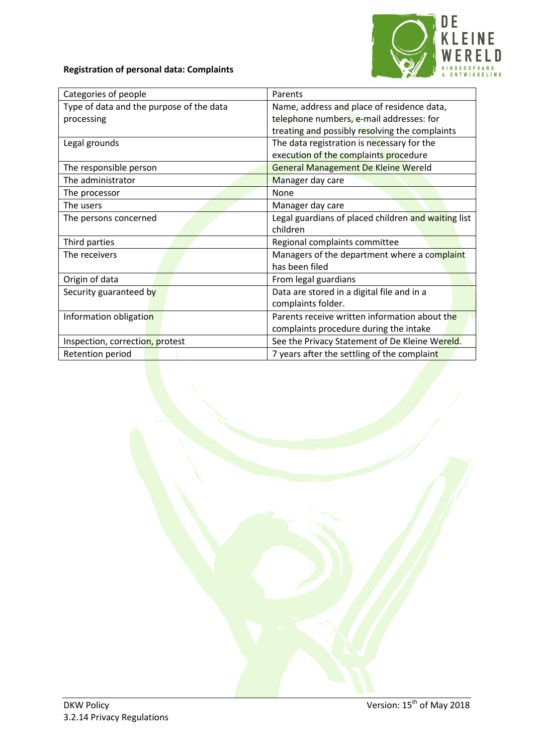



| Categories of people                     | Parents                                             |
|------------------------------------------|-----------------------------------------------------|
| Type of data and the purpose of the data | Name, address and place of residence data,          |
| processing                               | telephone numbers, e-mail addresses: for            |
|                                          | treating and possibly resolving the complaints      |
| Legal grounds                            | The data registration is necessary for the          |
|                                          | execution of the complaints procedure               |
| The responsible person                   | <b>General Management De Kleine Wereld</b>          |
| The administrator                        | Manager day care                                    |
| The processor                            | None                                                |
| The users                                | Manager day care                                    |
| The persons concerned                    | Legal guardians of placed children and waiting list |
|                                          | children                                            |
| Third parties                            | Regional complaints committee                       |
| The receivers                            | Managers of the department where a complaint        |
|                                          | has been filed                                      |
| Origin of data                           | From legal guardians                                |
| Security guaranteed by                   | Data are stored in a digital file and in a          |
|                                          | complaints folder.                                  |
| Information obligation                   | Parents receive written information about the       |
|                                          | complaints procedure during the intake              |
| Inspection, correction, protest          | See the Privacy Statement of De Kleine Wereld.      |
| Retention period                         | 7 years after the settling of the complaint         |

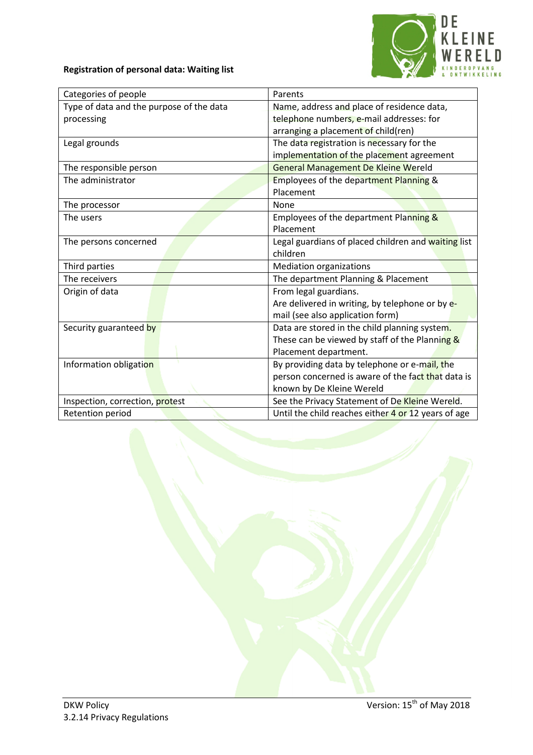

# **Registration of personal data: Waiting list**

| Categories of people                     | Parents                                             |
|------------------------------------------|-----------------------------------------------------|
| Type of data and the purpose of the data | Name, address and place of residence data,          |
| processing                               | telephone numbers, e-mail addresses: for            |
|                                          | arranging a placement of child(ren)                 |
| Legal grounds                            | The data registration is necessary for the          |
|                                          | implementation of the placement agreement           |
| The responsible person                   | <b>General Management De Kleine Wereld</b>          |
| The administrator                        | Employees of the department Planning &              |
|                                          | Placement                                           |
| The processor                            | None                                                |
| The users                                | Employees of the department Planning &              |
|                                          | Placement                                           |
| The persons concerned                    | Legal guardians of placed children and waiting list |
|                                          | children                                            |
| Third parties                            | Mediation organizations                             |
| The receivers                            | The department Planning & Placement                 |
| Origin of data                           | From legal guardians.                               |
|                                          | Are delivered in writing, by telephone or by e-     |
|                                          | mail (see also application form)                    |
| Security guaranteed by                   | Data are stored in the child planning system.       |
|                                          | These can be viewed by staff of the Planning &      |
|                                          | Placement department.                               |
| Information obligation                   | By providing data by telephone or e-mail, the       |
|                                          | person concerned is aware of the fact that data is  |
|                                          | known by De Kleine Wereld                           |
| Inspection, correction, protest          | See the Privacy Statement of De Kleine Wereld.      |
| Retention period                         | Until the child reaches either 4 or 12 years of age |

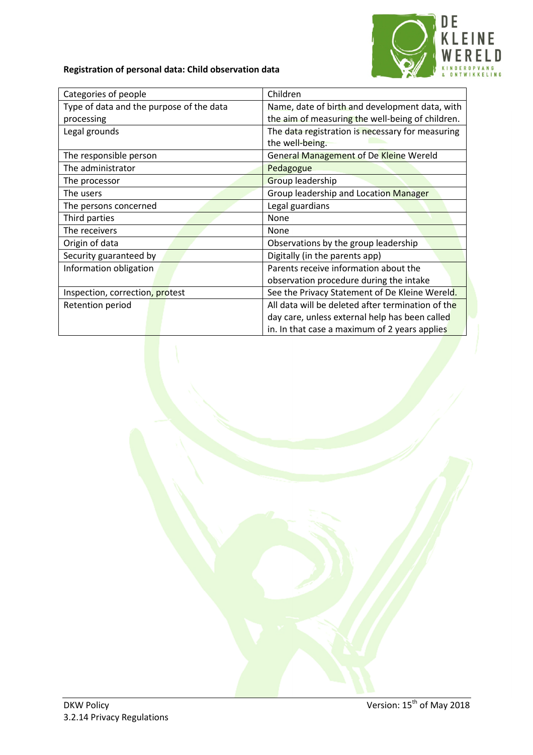

# **Registration of personal data: Child observation data**

| Categories of people                     | Children                                          |
|------------------------------------------|---------------------------------------------------|
| Type of data and the purpose of the data | Name, date of birth and development data, with    |
| processing                               | the aim of measuring the well-being of children.  |
| Legal grounds                            | The data registration is necessary for measuring  |
|                                          | the well-being.                                   |
| The responsible person                   | <b>General Management of De Kleine Wereld</b>     |
| The administrator                        | Pedagogue                                         |
| The processor                            | Group leadership                                  |
| The users                                | Group leadership and Location Manager             |
| The persons concerned                    | Legal guardians                                   |
| Third parties                            | None                                              |
| The receivers                            | None                                              |
| Origin of data                           | Observations by the group leadership              |
| Security guaranteed by                   | Digitally (in the parents app)                    |
| Information obligation                   | Parents receive information about the             |
|                                          | observation procedure during the intake           |
| Inspection, correction, protest          | See the Privacy Statement of De Kleine Wereld.    |
| Retention period                         | All data will be deleted after termination of the |
|                                          | day care, unless external help has been called    |
|                                          | in. In that case a maximum of 2 years applies     |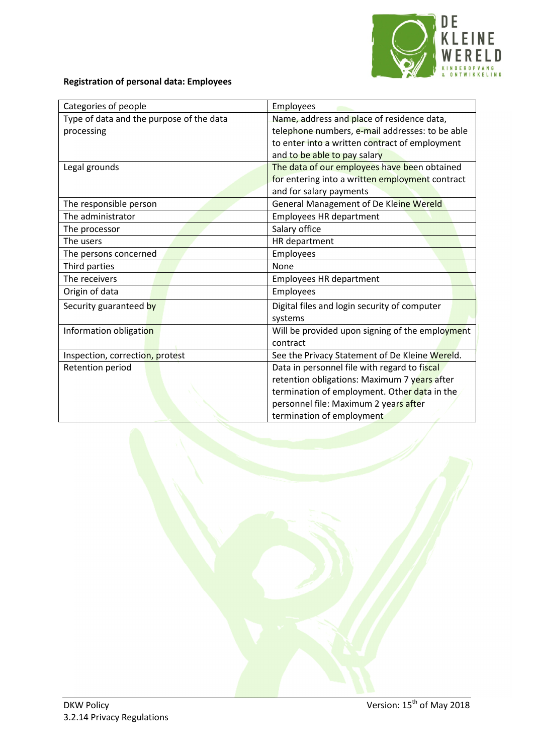

# **Registration of personal data: Employees**

| Categories of people                     | Employees                                       |
|------------------------------------------|-------------------------------------------------|
| Type of data and the purpose of the data | Name, address and place of residence data,      |
| processing                               | telephone numbers, e-mail addresses: to be able |
|                                          | to enter into a written contract of employment  |
|                                          | and to be able to pay salary                    |
| Legal grounds                            | The data of our employees have been obtained    |
|                                          | for entering into a written employment contract |
|                                          | and for salary payments                         |
| The responsible person                   | General Management of De Kleine Wereld          |
| The administrator                        | <b>Employees HR department</b>                  |
| The processor                            | Salary office                                   |
| The users                                | HR department                                   |
| The persons concerned                    | Employees                                       |
| Third parties                            | None                                            |
| The receivers                            | <b>Employees HR department</b>                  |
| Origin of data                           | Employees                                       |
| Security guaranteed by                   | Digital files and login security of computer    |
|                                          | systems                                         |
| Information obligation                   | Will be provided upon signing of the employment |
|                                          | contract                                        |
| Inspection, correction, protest          | See the Privacy Statement of De Kleine Wereld.  |
| Retention period                         | Data in personnel file with regard to fiscal    |
|                                          | retention obligations: Maximum 7 years after    |
|                                          | termination of employment. Other data in the    |
|                                          | personnel file: Maximum 2 years after           |
|                                          | termination of employment                       |